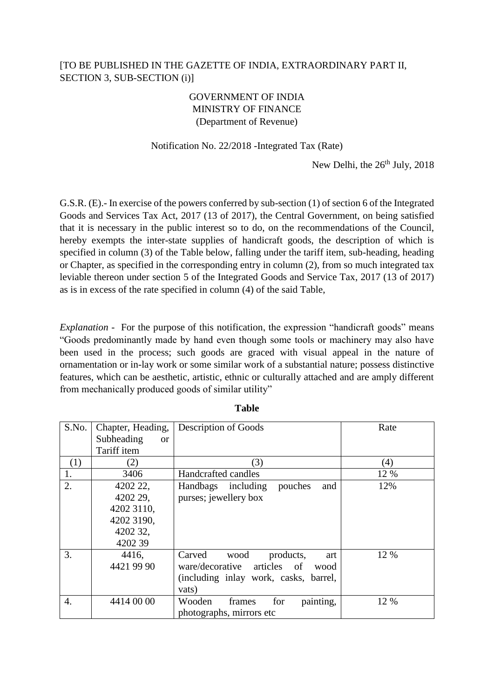## [TO BE PUBLISHED IN THE GAZETTE OF INDIA, EXTRAORDINARY PART II, SECTION 3, SUB-SECTION (i)]

## GOVERNMENT OF INDIA MINISTRY OF FINANCE (Department of Revenue)

## Notification No. 22/2018 -Integrated Tax (Rate)

New Delhi, the  $26<sup>th</sup>$  July,  $2018$ 

G.S.R. (E).- In exercise of the powers conferred by sub-section (1) of section 6 of the Integrated Goods and Services Tax Act, 2017 (13 of 2017), the Central Government, on being satisfied that it is necessary in the public interest so to do, on the recommendations of the Council, hereby exempts the inter-state supplies of handicraft goods, the description of which is specified in column (3) of the Table below, falling under the tariff item, sub-heading, heading or Chapter, as specified in the corresponding entry in column (2), from so much integrated tax leviable thereon under section 5 of the Integrated Goods and Service Tax, 2017 (13 of 2017) as is in excess of the rate specified in column (4) of the said Table,

*Explanation* - For the purpose of this notification, the expression "handicraft goods" means "Goods predominantly made by hand even though some tools or machinery may also have been used in the process; such goods are graced with visual appeal in the nature of ornamentation or in-lay work or some similar work of a substantial nature; possess distinctive features, which can be aesthetic, artistic, ethnic or culturally attached and are amply different from mechanically produced goods of similar utility"

| S.No. | Chapter, Heading,       | Description of Goods                      | Rate |
|-------|-------------------------|-------------------------------------------|------|
|       | Subheading<br><b>or</b> |                                           |      |
|       | Tariff item             |                                           |      |
| (1)   | (2)                     | (3)                                       | (4)  |
| 1.    | 3406                    | Handcrafted candles                       | 12 % |
| 2.    | 4202 22,                | Handbags including<br>pouches<br>and      | 12%  |
|       | 4202 29,                | purses; jewellery box                     |      |
|       | 4202 3110,              |                                           |      |
|       | 4202 3190,              |                                           |      |
|       | 4202 32,                |                                           |      |
|       | 4202 39                 |                                           |      |
| 3.    | 4416,                   | Carved<br>wood<br>products,<br>art        | 12 % |
|       | 4421 99 90              | articles<br>ware/decorative<br>of<br>wood |      |
|       |                         | (including inlay work, casks, barrel,     |      |
|       |                         | vats)                                     |      |
| 4.    | 4414 00 00              | painting,<br>Wooden<br>for<br>frames      | 12 % |
|       |                         | photographs, mirrors etc.                 |      |

**Table**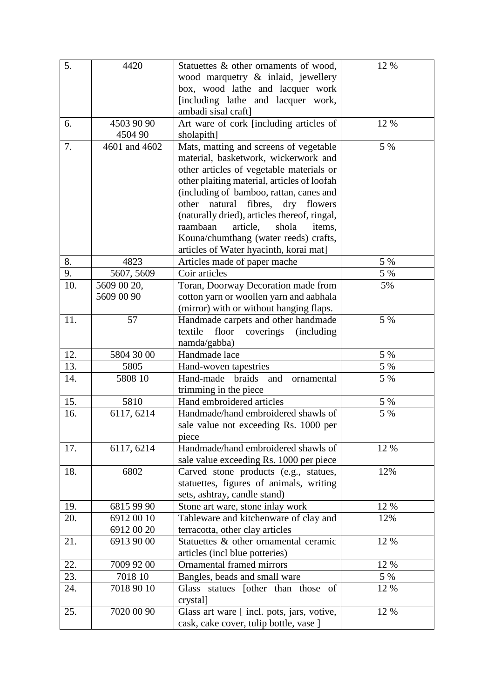| 5.        | 4420                      | Statuettes & other ornaments of wood,                                              | 12 %       |
|-----------|---------------------------|------------------------------------------------------------------------------------|------------|
|           |                           | wood marquetry & inlaid, jewellery                                                 |            |
|           |                           | box, wood lathe and lacquer work                                                   |            |
|           |                           | [including lathe and lacquer work,                                                 |            |
|           |                           | ambadi sisal craft]                                                                |            |
| 6.        | 4503 90 90                | Art ware of cork [including articles of                                            | 12 %       |
|           | 4504 90                   | sholapith]                                                                         |            |
| 7.        | 4601 and 4602             | Mats, matting and screens of vegetable                                             | 5 %        |
|           |                           | material, basketwork, wickerwork and                                               |            |
|           |                           | other articles of vegetable materials or                                           |            |
|           |                           | other plaiting material, articles of loofah                                        |            |
|           |                           | (including of bamboo, rattan, canes and                                            |            |
|           |                           | fibres,<br>natural<br>dry flowers<br>other                                         |            |
|           |                           | (naturally dried), articles thereof, ringal,                                       |            |
|           |                           | article,<br>raambaan<br>shola<br>items.                                            |            |
|           |                           | Kouna/chumthang (water reeds) crafts,                                              |            |
|           |                           | articles of Water hyacinth, korai mat]                                             |            |
| 8.        | 4823                      | Articles made of paper mache<br>Coir articles                                      | 5 %<br>5 % |
| 9.<br>10. | 5607, 5609                |                                                                                    | 5%         |
|           | 5609 00 20,<br>5609 00 90 | Toran, Doorway Decoration made from                                                |            |
|           |                           | cotton yarn or woollen yarn and aabhala<br>(mirror) with or without hanging flaps. |            |
| 11.       | 57                        | Handmade carpets and other handmade                                                | 5 %        |
|           |                           | textile<br>floor<br>coverings<br><i>(including)</i>                                |            |
|           |                           | namda/gabba)                                                                       |            |
| 12.       | 5804 30 00                | Handmade lace                                                                      | 5 %        |
| 13.       | 5805                      | Hand-woven tapestries                                                              | 5 %        |
| 14.       | 5808 10                   | Hand-made braids<br>and<br>ornamental                                              | 5 %        |
|           |                           | trimming in the piece                                                              |            |
| 15.       | 5810                      | Hand embroidered articles                                                          | 5 %        |
| 16.       | 6117, 6214                | Handmade/hand embroidered shawls of                                                | 5 %        |
|           |                           | sale value not exceeding Rs. 1000 per                                              |            |
|           |                           | piece                                                                              |            |
| 17.       | 6117, 6214                | Handmade/hand embroidered shawls of                                                | 12 %       |
|           |                           | sale value exceeding Rs. 1000 per piece                                            |            |
| 18.       | 6802                      | Carved stone products (e.g., statues,                                              | 12%        |
|           |                           | statuettes, figures of animals, writing                                            |            |
|           |                           | sets, ashtray, candle stand)                                                       |            |
| 19.       | 6815 99 90                | Stone art ware, stone inlay work                                                   | 12 %       |
| 20.       | 69120010                  | Tableware and kitchenware of clay and                                              | 12%        |
|           | 6912 00 20                | terracotta, other clay articles                                                    |            |
| 21.       | 6913 90 00                | Statuettes & other ornamental ceramic                                              | 12 %       |
|           |                           | articles (incl blue potteries)                                                     |            |
| 22.       | 7009 92 00                | Ornamental framed mirrors                                                          | 12 %       |
| 23.       | 7018 10                   | Bangles, beads and small ware                                                      | 5 %        |
| 24.       | 7018 90 10                | Glass statues [other than those of                                                 | 12 %       |
|           |                           | crystal]                                                                           |            |
| 25.       | 7020 00 90                | Glass art ware [incl. pots, jars, votive,                                          | 12 %       |
|           |                           | cask, cake cover, tulip bottle, vase ]                                             |            |